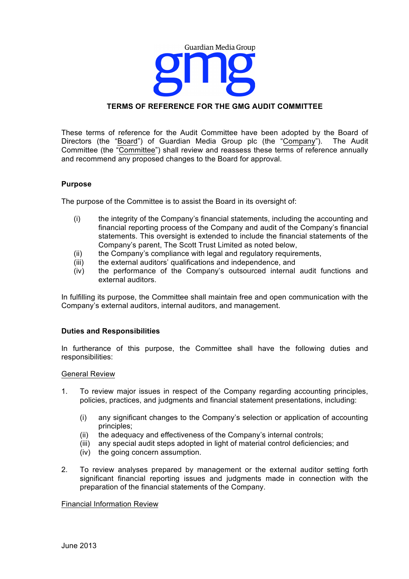

# **TERMS OF REFERENCE FOR THE GMG AUDIT COMMITTEE**

These terms of reference for the Audit Committee have been adopted by the Board of Directors (the "Board") of Guardian Media Group plc (the "Company"). The Audit Committee (the "Committee") shall review and reassess these terms of reference annually and recommend any proposed changes to the Board for approval.

## **Purpose**

The purpose of the Committee is to assist the Board in its oversight of:

- (i) the integrity of the Company's financial statements, including the accounting and financial reporting process of the Company and audit of the Company's financial statements. This oversight is extended to include the financial statements of the Company's parent, The Scott Trust Limited as noted below,
- (ii) the Company's compliance with legal and regulatory requirements,
- (iii) the external auditors' qualifications and independence, and
- (iv) the performance of the Company's outsourced internal audit functions and external auditors.

In fulfilling its purpose, the Committee shall maintain free and open communication with the Company's external auditors, internal auditors, and management.

## **Duties and Responsibilities**

In furtherance of this purpose, the Committee shall have the following duties and responsibilities:

## General Review

- 1. To review major issues in respect of the Company regarding accounting principles, policies, practices, and judgments and financial statement presentations, including:
	- (i) any significant changes to the Company's selection or application of accounting principles;
	- (ii) the adequacy and effectiveness of the Company's internal controls;<br>(iii) any special audit steps adopted in light of material control deficiencial
	- any special audit steps adopted in light of material control deficiencies; and
	- (iv) the going concern assumption.
- 2. To review analyses prepared by management or the external auditor setting forth significant financial reporting issues and judgments made in connection with the preparation of the financial statements of the Company.

## Financial Information Review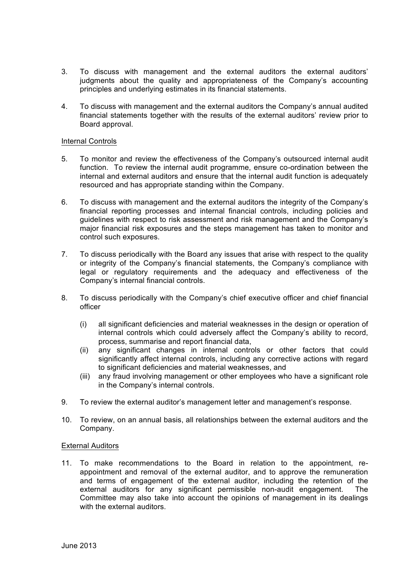- 3. To discuss with management and the external auditors the external auditors' judgments about the quality and appropriateness of the Company's accounting principles and underlying estimates in its financial statements.
- 4. To discuss with management and the external auditors the Company's annual audited financial statements together with the results of the external auditors' review prior to Board approval.

## Internal Controls

- 5. To monitor and review the effectiveness of the Company's outsourced internal audit function. To review the internal audit programme, ensure co-ordination between the internal and external auditors and ensure that the internal audit function is adequately resourced and has appropriate standing within the Company.
- 6. To discuss with management and the external auditors the integrity of the Company's financial reporting processes and internal financial controls, including policies and guidelines with respect to risk assessment and risk management and the Company's major financial risk exposures and the steps management has taken to monitor and control such exposures.
- 7. To discuss periodically with the Board any issues that arise with respect to the quality or integrity of the Company's financial statements, the Company's compliance with legal or regulatory requirements and the adequacy and effectiveness of the Company's internal financial controls.
- 8. To discuss periodically with the Company's chief executive officer and chief financial officer
	- (i) all significant deficiencies and material weaknesses in the design or operation of internal controls which could adversely affect the Company's ability to record, process, summarise and report financial data,
	- (ii) any significant changes in internal controls or other factors that could significantly affect internal controls, including any corrective actions with regard to significant deficiencies and material weaknesses, and
	- (iii) any fraud involving management or other employees who have a significant role in the Company's internal controls.
- 9. To review the external auditor's management letter and management's response.
- 10. To review, on an annual basis, all relationships between the external auditors and the Company.

## External Auditors

11. To make recommendations to the Board in relation to the appointment, reappointment and removal of the external auditor, and to approve the remuneration and terms of engagement of the external auditor, including the retention of the external auditors for any significant permissible non-audit engagement. The Committee may also take into account the opinions of management in its dealings with the external auditors.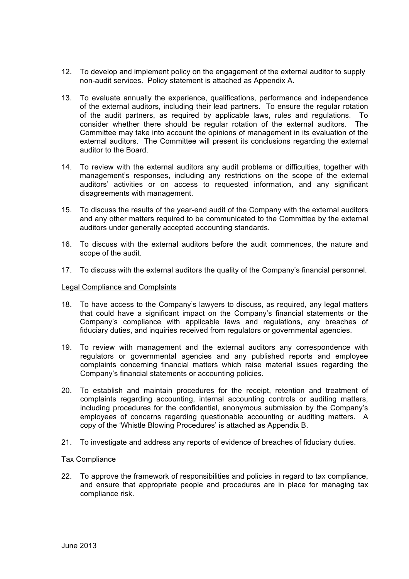- 12. To develop and implement policy on the engagement of the external auditor to supply non-audit services. Policy statement is attached as Appendix A.
- 13. To evaluate annually the experience, qualifications, performance and independence of the external auditors, including their lead partners. To ensure the regular rotation of the audit partners, as required by applicable laws, rules and regulations. To consider whether there should be regular rotation of the external auditors. The Committee may take into account the opinions of management in its evaluation of the external auditors. The Committee will present its conclusions regarding the external auditor to the Board.
- 14. To review with the external auditors any audit problems or difficulties, together with management's responses, including any restrictions on the scope of the external auditors' activities or on access to requested information, and any significant disagreements with management.
- 15. To discuss the results of the year-end audit of the Company with the external auditors and any other matters required to be communicated to the Committee by the external auditors under generally accepted accounting standards.
- 16. To discuss with the external auditors before the audit commences, the nature and scope of the audit.
- 17. To discuss with the external auditors the quality of the Company's financial personnel.

#### Legal Compliance and Complaints

- 18. To have access to the Company's lawyers to discuss, as required, any legal matters that could have a significant impact on the Company's financial statements or the Company's compliance with applicable laws and regulations, any breaches of fiduciary duties, and inquiries received from regulators or governmental agencies.
- 19. To review with management and the external auditors any correspondence with regulators or governmental agencies and any published reports and employee complaints concerning financial matters which raise material issues regarding the Company's financial statements or accounting policies.
- 20. To establish and maintain procedures for the receipt, retention and treatment of complaints regarding accounting, internal accounting controls or auditing matters, including procedures for the confidential, anonymous submission by the Company's employees of concerns regarding questionable accounting or auditing matters. A copy of the 'Whistle Blowing Procedures' is attached as Appendix B.
- 21. To investigate and address any reports of evidence of breaches of fiduciary duties.

#### Tax Compliance

22. To approve the framework of responsibilities and policies in regard to tax compliance, and ensure that appropriate people and procedures are in place for managing tax compliance risk.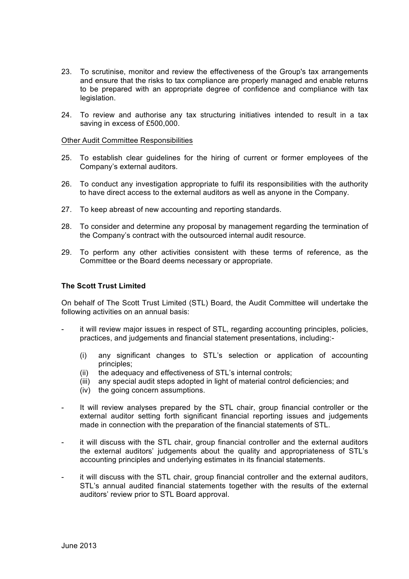- 23. To scrutinise, monitor and review the effectiveness of the Group's tax arrangements and ensure that the risks to tax compliance are properly managed and enable returns to be prepared with an appropriate degree of confidence and compliance with tax legislation.
- 24. To review and authorise any tax structuring initiatives intended to result in a tax saving in excess of £500,000.

#### Other Audit Committee Responsibilities

- 25. To establish clear guidelines for the hiring of current or former employees of the Company's external auditors.
- 26. To conduct any investigation appropriate to fulfil its responsibilities with the authority to have direct access to the external auditors as well as anyone in the Company.
- 27. To keep abreast of new accounting and reporting standards.
- 28. To consider and determine any proposal by management regarding the termination of the Company's contract with the outsourced internal audit resource.
- 29. To perform any other activities consistent with these terms of reference, as the Committee or the Board deems necessary or appropriate.

#### **The Scott Trust Limited**

On behalf of The Scott Trust Limited (STL) Board, the Audit Committee will undertake the following activities on an annual basis:

- it will review major issues in respect of STL, regarding accounting principles, policies, practices, and judgements and financial statement presentations, including:-
	- (i) any significant changes to STL's selection or application of accounting principles;
	- (ii) the adequacy and effectiveness of STL's internal controls;
	- (iii) any special audit steps adopted in light of material control deficiencies; and
	- (iv) the going concern assumptions.
- It will review analyses prepared by the STL chair, group financial controller or the external auditor setting forth significant financial reporting issues and judgements made in connection with the preparation of the financial statements of STL.
- it will discuss with the STL chair, group financial controller and the external auditors the external auditors' judgements about the quality and appropriateness of STL's accounting principles and underlying estimates in its financial statements.
- it will discuss with the STL chair, group financial controller and the external auditors, STL's annual audited financial statements together with the results of the external auditors' review prior to STL Board approval.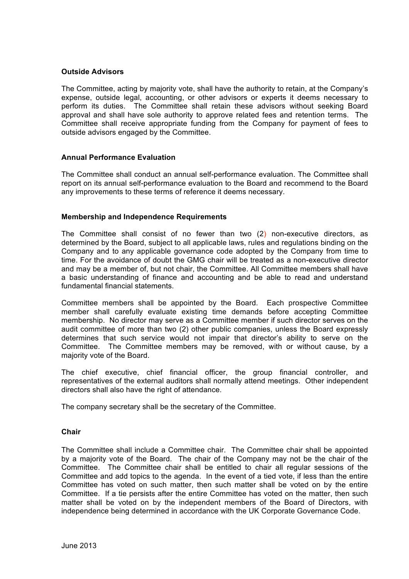# **Outside Advisors**

The Committee, acting by majority vote, shall have the authority to retain, at the Company's expense, outside legal, accounting, or other advisors or experts it deems necessary to perform its duties. The Committee shall retain these advisors without seeking Board approval and shall have sole authority to approve related fees and retention terms. The Committee shall receive appropriate funding from the Company for payment of fees to outside advisors engaged by the Committee.

# **Annual Performance Evaluation**

The Committee shall conduct an annual self-performance evaluation. The Committee shall report on its annual self-performance evaluation to the Board and recommend to the Board any improvements to these terms of reference it deems necessary.

## **Membership and Independence Requirements**

The Committee shall consist of no fewer than two (2) non-executive directors, as determined by the Board, subject to all applicable laws, rules and regulations binding on the Company and to any applicable governance code adopted by the Company from time to time. For the avoidance of doubt the GMG chair will be treated as a non-executive director and may be a member of, but not chair, the Committee. All Committee members shall have a basic understanding of finance and accounting and be able to read and understand fundamental financial statements.

Committee members shall be appointed by the Board. Each prospective Committee member shall carefully evaluate existing time demands before accepting Committee membership. No director may serve as a Committee member if such director serves on the audit committee of more than two (2) other public companies, unless the Board expressly determines that such service would not impair that director's ability to serve on the Committee. The Committee members may be removed, with or without cause, by a majority vote of the Board.

The chief executive, chief financial officer, the group financial controller, and representatives of the external auditors shall normally attend meetings. Other independent directors shall also have the right of attendance.

The company secretary shall be the secretary of the Committee.

## **Chair**

The Committee shall include a Committee chair. The Committee chair shall be appointed by a majority vote of the Board. The chair of the Company may not be the chair of the Committee. The Committee chair shall be entitled to chair all regular sessions of the Committee and add topics to the agenda. In the event of a tied vote, if less than the entire Committee has voted on such matter, then such matter shall be voted on by the entire Committee. If a tie persists after the entire Committee has voted on the matter, then such matter shall be voted on by the independent members of the Board of Directors, with independence being determined in accordance with the UK Corporate Governance Code.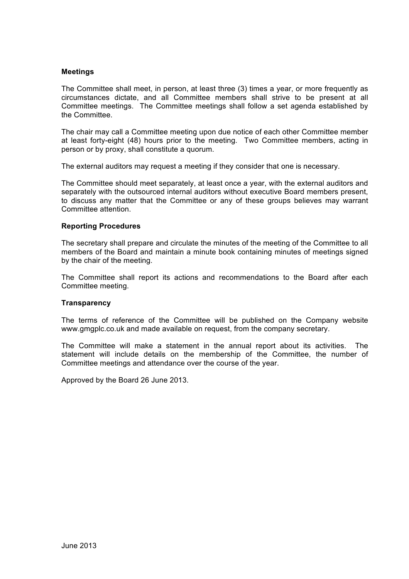# **Meetings**

The Committee shall meet, in person, at least three (3) times a year, or more frequently as circumstances dictate, and all Committee members shall strive to be present at all Committee meetings. The Committee meetings shall follow a set agenda established by the Committee.

The chair may call a Committee meeting upon due notice of each other Committee member at least forty-eight (48) hours prior to the meeting. Two Committee members, acting in person or by proxy, shall constitute a quorum.

The external auditors may request a meeting if they consider that one is necessary.

The Committee should meet separately, at least once a year, with the external auditors and separately with the outsourced internal auditors without executive Board members present, to discuss any matter that the Committee or any of these groups believes may warrant Committee attention.

## **Reporting Procedures**

The secretary shall prepare and circulate the minutes of the meeting of the Committee to all members of the Board and maintain a minute book containing minutes of meetings signed by the chair of the meeting.

The Committee shall report its actions and recommendations to the Board after each Committee meeting.

## **Transparency**

The terms of reference of the Committee will be published on the Company website www.gmgplc.co.uk and made available on request, from the company secretary.

The Committee will make a statement in the annual report about its activities. The statement will include details on the membership of the Committee, the number of Committee meetings and attendance over the course of the year.

Approved by the Board 26 June 2013.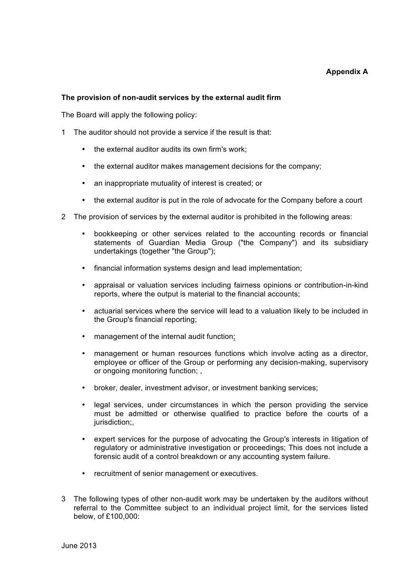# **Appendix A**

## **The provision of non-audit services by the external audit firm**

The Board will apply the following policy:

- 1 The auditor should not provide a service if the result is that:
	- the external auditor audits its own firm's work;
	- the external auditor makes management decisions for the company;
	- an inappropriate mutuality of interest is created; or
	- the external auditor is put in the role of advocate for the Company before a court
- 2 The provision of services by the external auditor is prohibited in the following areas:
	- bookkeeping or other services related to the accounting records or financial statements of Guardian Media Group ("the Company") and its subsidiary undertakings (together "the Group");
	- financial information systems design and lead implementation;
	- appraisal or valuation services including fairness opinions or contribution-in-kind reports, where the output is material to the financial accounts;
	- actuarial services where the service will lead to a valuation likely to be included in the Group's financial reporting;
	- management of the internal audit function;
	- management or human resources functions which involve acting as a director, employee or officer of the Group or performing any decision-making, supervisory or ongoing monitoring function; ,
	- broker, dealer, investment advisor, or investment banking services;
	- legal services, under circumstances in which the person providing the service must be admitted or otherwise qualified to practice before the courts of a jurisdiction;
	- expert services for the purpose of advocating the Group's interests in litigation of regulatory or administrative investigation or proceedings; This does not include a forensic audit of a control breakdown or any accounting system failure.
	- recruitment of senior management or executives.
- 3 The following types of other non-audit work may be undertaken by the auditors without referral to the Committee subject to an individual project limit, for the services listed below, of £100,000: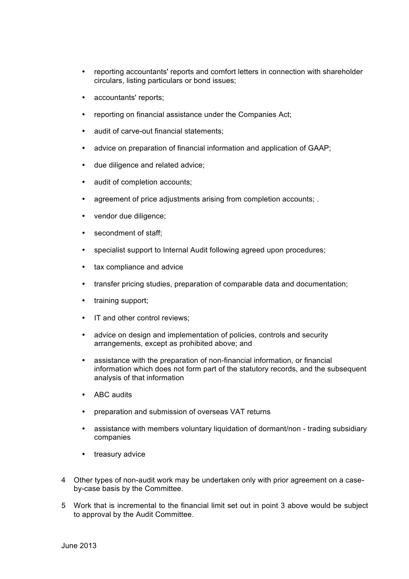- reporting accountants' reports and comfort letters in connection with shareholder circulars, listing particulars or bond issues;
- accountants' reports;
- reporting on financial assistance under the Companies Act;
- audit of carve-out financial statements;
- advice on preparation of financial information and application of GAAP;
- due diligence and related advice;
- audit of completion accounts;
- agreement of price adjustments arising from completion accounts; .
- vendor due diligence;
- secondment of staff:
- specialist support to Internal Audit following agreed upon procedures;
- tax compliance and advice
- transfer pricing studies, preparation of comparable data and documentation;
- training support:
- IT and other control reviews;
- advice on design and implementation of policies, controls and security arrangements, except as prohibited above; and
- assistance with the preparation of non-financial information, or financial information which does not form part of the statutory records, and the subsequent analysis of that information
- ABC audits
- preparation and submission of overseas VAT returns
- assistance with members voluntary liquidation of dormant/non trading subsidiary companies
- treasury advice
- 4 Other types of non-audit work may be undertaken only with prior agreement on a caseby-case basis by the Committee.
- 5 Work that is incremental to the financial limit set out in point 3 above would be subject to approval by the Audit Committee.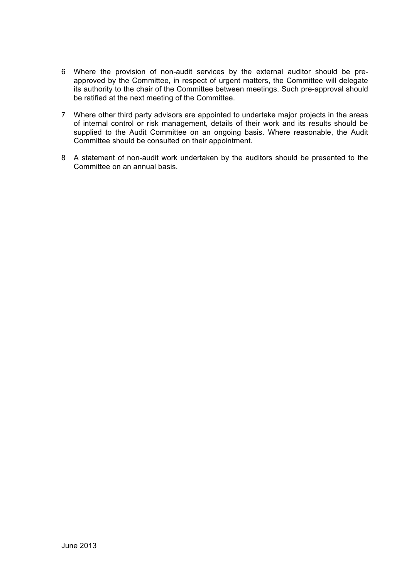- 6 Where the provision of non-audit services by the external auditor should be preapproved by the Committee, in respect of urgent matters, the Committee will delegate its authority to the chair of the Committee between meetings. Such pre-approval should be ratified at the next meeting of the Committee.
- 7 Where other third party advisors are appointed to undertake major projects in the areas of internal control or risk management, details of their work and its results should be supplied to the Audit Committee on an ongoing basis. Where reasonable, the Audit Committee should be consulted on their appointment.
- 8 A statement of non-audit work undertaken by the auditors should be presented to the Committee on an annual basis.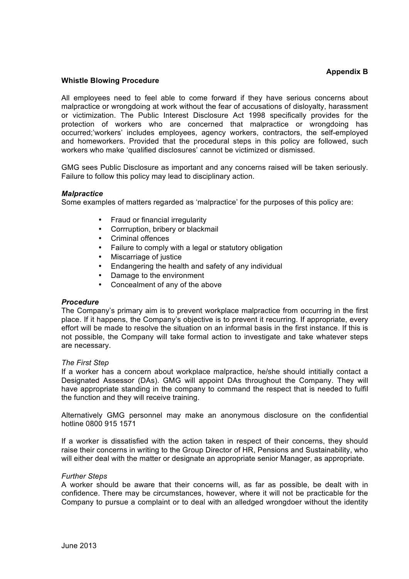# **Appendix B**

## **Whistle Blowing Procedure**

All employees need to feel able to come forward if they have serious concerns about malpractice or wrongdoing at work without the fear of accusations of disloyalty, harassment or victimization. The Public Interest Disclosure Act 1998 specifically provides for the protection of workers who are concerned that malpractice or wrongdoing has occurred;'workers' includes employees, agency workers, contractors, the self-employed and homeworkers. Provided that the procedural steps in this policy are followed, such workers who make 'qualified disclosures' cannot be victimized or dismissed.

GMG sees Public Disclosure as important and any concerns raised will be taken seriously. Failure to follow this policy may lead to disciplinary action.

## *Malpractice*

Some examples of matters regarded as 'malpractice' for the purposes of this policy are:

- Fraud or financial irregularity
- Corrruption, bribery or blackmail
- Criminal offences
- Failure to comply with a legal or statutory obligation
- Miscarriage of justice<br>• Endangering the heal
- Endangering the health and safety of any individual
- Damage to the environment
- Concealment of any of the above

#### *Procedure*

The Company's primary aim is to prevent workplace malpractice from occurring in the first place. If it happens, the Company's objective is to prevent it recurring. If appropriate, every effort will be made to resolve the situation on an informal basis in the first instance. If this is not possible, the Company will take formal action to investigate and take whatever steps are necessary.

#### *The First Step*

If a worker has a concern about workplace malpractice, he/she should intitially contact a Designated Assessor (DAs). GMG will appoint DAs throughout the Company. They will have appropriate standing in the company to command the respect that is needed to fulfil the function and they will receive training.

Alternatively GMG personnel may make an anonymous disclosure on the confidential hotline 0800 915 1571

If a worker is dissatisfied with the action taken in respect of their concerns, they should raise their concerns in writing to the Group Director of HR, Pensions and Sustainability, who will either deal with the matter or designate an appropriate senior Manager, as appropriate.

#### *Further Steps*

A worker should be aware that their concerns will, as far as possible, be dealt with in confidence. There may be circumstances, however, where it will not be practicable for the Company to pursue a complaint or to deal with an alledged wrongdoer without the identity